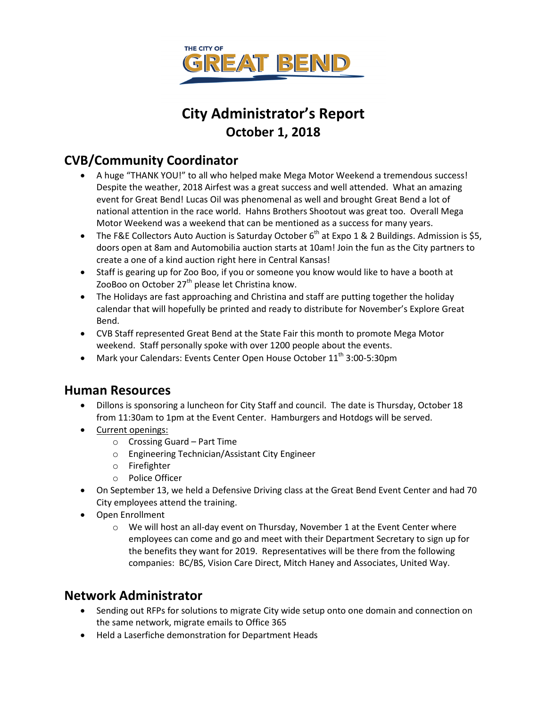

# **City Administrator's Report October 1, 2018**

### **CVB/Community Coordinator**

- A huge "THANK YOU!" to all who helped make Mega Motor Weekend a tremendous success! Despite the weather, 2018 Airfest was a great success and well attended. What an amazing event for Great Bend! Lucas Oil was phenomenal as well and brought Great Bend a lot of national attention in the race world. Hahns Brothers Shootout was great too. Overall Mega Motor Weekend was a weekend that can be mentioned as a success for many years.
- The F&E Collectors Auto Auction is Saturday October  $6<sup>th</sup>$  at Expo 1 & 2 Buildings. Admission is \$5, doors open at 8am and Automobilia auction starts at 10am! Join the fun as the City partners to create a one of a kind auction right here in Central Kansas!
- Staff is gearing up for Zoo Boo, if you or someone you know would like to have a booth at ZooBoo on October  $27<sup>th</sup>$  please let Christina know.
- The Holidays are fast approaching and Christina and staff are putting together the holiday calendar that will hopefully be printed and ready to distribute for November's Explore Great Bend.
- CVB Staff represented Great Bend at the State Fair this month to promote Mega Motor weekend. Staff personally spoke with over 1200 people about the events.
- Mark your Calendars: Events Center Open House October  $11<sup>th</sup> 3:00-5:30$ pm

### **Human Resources**

- Dillons is sponsoring a luncheon for City Staff and council. The date is Thursday, October 18 from 11:30am to 1pm at the Event Center. Hamburgers and Hotdogs will be served.
- Current openings:
	- o Crossing Guard Part Time
	- o Engineering Technician/Assistant City Engineer
	- o Firefighter
	- o Police Officer
- On September 13, we held a Defensive Driving class at the Great Bend Event Center and had 70 City employees attend the training.
- Open Enrollment
	- $\circ$  We will host an all-day event on Thursday, November 1 at the Event Center where employees can come and go and meet with their Department Secretary to sign up for the benefits they want for 2019. Representatives will be there from the following companies: BC/BS, Vision Care Direct, Mitch Haney and Associates, United Way.

### **Network Administrator**

- Sending out RFPs for solutions to migrate City wide setup onto one domain and connection on the same network, migrate emails to Office 365
- Held a Laserfiche demonstration for Department Heads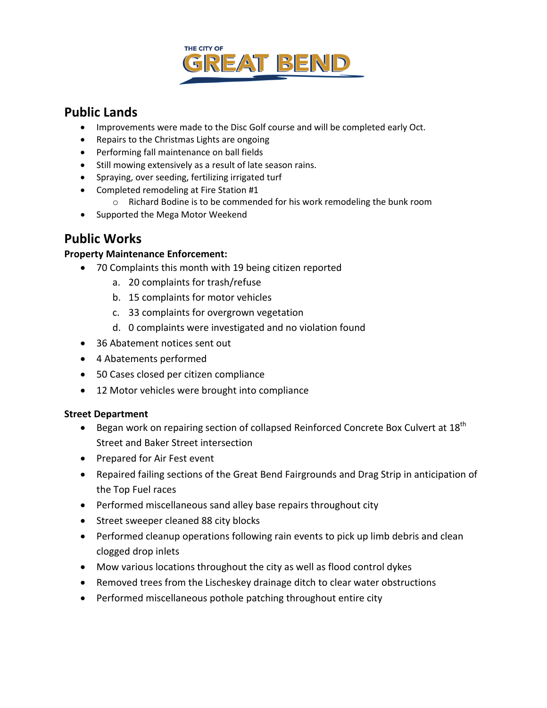

### **Public Lands**

- Improvements were made to the Disc Golf course and will be completed early Oct.
- Repairs to the Christmas Lights are ongoing
- Performing fall maintenance on ball fields
- Still mowing extensively as a result of late season rains.
- Spraying, over seeding, fertilizing irrigated turf
- Completed remodeling at Fire Station #1
	- o Richard Bodine is to be commended for his work remodeling the bunk room
- Supported the Mega Motor Weekend

### **Public Works**

### **Property Maintenance Enforcement:**

- 70 Complaints this month with 19 being citizen reported
	- a. 20 complaints for trash/refuse
	- b. 15 complaints for motor vehicles
	- c. 33 complaints for overgrown vegetation
	- d. 0 complaints were investigated and no violation found
- 36 Abatement notices sent out
- 4 Abatements performed
- 50 Cases closed per citizen compliance
- 12 Motor vehicles were brought into compliance

#### **Street Department**

- Began work on repairing section of collapsed Reinforced Concrete Box Culvert at  $18^{th}$ Street and Baker Street intersection
- Prepared for Air Fest event
- Repaired failing sections of the Great Bend Fairgrounds and Drag Strip in anticipation of the Top Fuel races
- Performed miscellaneous sand alley base repairs throughout city
- Street sweeper cleaned 88 city blocks
- Performed cleanup operations following rain events to pick up limb debris and clean clogged drop inlets
- Mow various locations throughout the city as well as flood control dykes
- Removed trees from the Lischeskey drainage ditch to clear water obstructions
- Performed miscellaneous pothole patching throughout entire city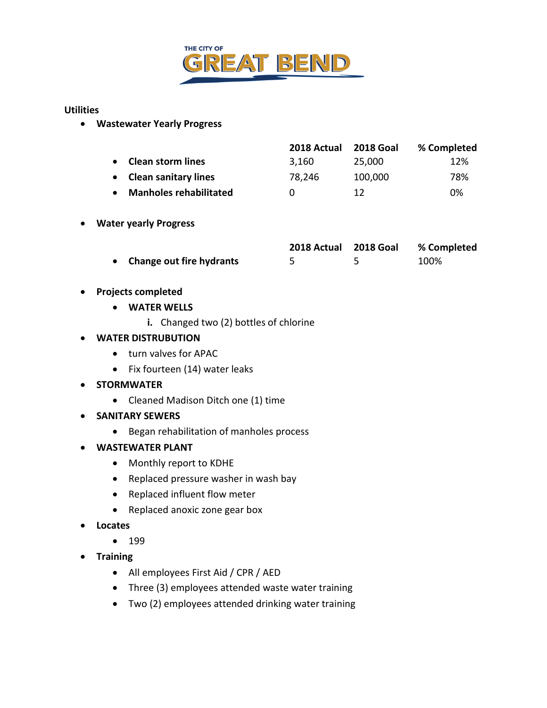

#### **Utilities**

• **Wastewater Yearly Progress**

|                               | 2018 Actual  | <b>2018 Goal</b> | % Completed |
|-------------------------------|--------------|------------------|-------------|
| <b>Clean storm lines</b>      | 3.160        | 25,000           | 12%         |
| <b>Clean sanitary lines</b>   | 78,246       | 100,000          | 78%         |
| <b>Manholes rehabilitated</b> | $\mathbf{U}$ | 12               | 0%          |

### • **Water yearly Progress**

|                            | 2018 Actual 2018 Goal | % Completed |
|----------------------------|-----------------------|-------------|
| • Change out fire hydrants |                       | 100%        |

### • **Projects completed**

- **WATER WELLS**
	- **i.** Changed two (2) bottles of chlorine

### • **WATER DISTRUBUTION**

- turn valves for APAC
- Fix fourteen (14) water leaks
- **STORMWATER**
	- Cleaned Madison Ditch one (1) time
- **SANITARY SEWERS**
	- Began rehabilitation of manholes process
- **WASTEWATER PLANT**
	- Monthly report to KDHE
	- Replaced pressure washer in wash bay
	- Replaced influent flow meter
	- Replaced anoxic zone gear box
- **Locates**
	- 199
- **Training**
	- All employees First Aid / CPR / AED
	- Three (3) employees attended waste water training
	- Two (2) employees attended drinking water training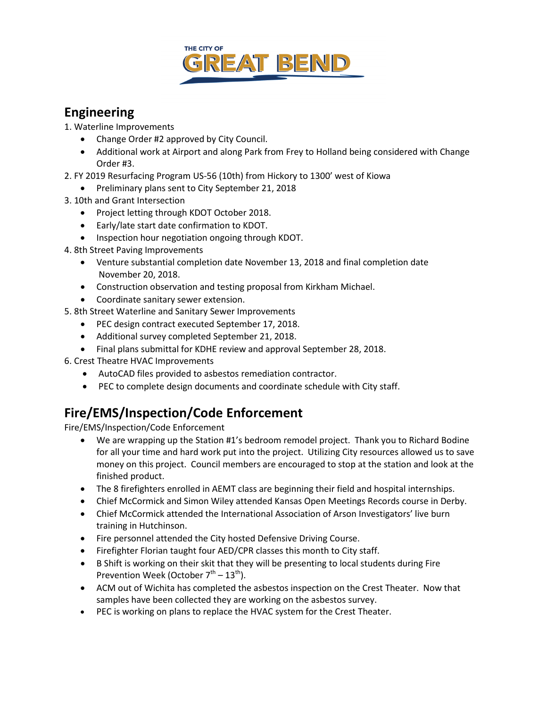

## **Engineering**

1. Waterline Improvements

- Change Order #2 approved by City Council.
- Additional work at Airport and along Park from Frey to Holland being considered with Change Order #3.
- 2. FY 2019 Resurfacing Program US-56 (10th) from Hickory to 1300' west of Kiowa
- Preliminary plans sent to City September 21, 2018
- 3. 10th and Grant Intersection
	- Project letting through KDOT October 2018.
	- Early/late start date confirmation to KDOT.
	- Inspection hour negotiation ongoing through KDOT.
- 4. 8th Street Paving Improvements
	- Venture substantial completion date November 13, 2018 and final completion date November 20, 2018.
	- Construction observation and testing proposal from Kirkham Michael.
	- Coordinate sanitary sewer extension.
- 5. 8th Street Waterline and Sanitary Sewer Improvements
	- PEC design contract executed September 17, 2018.
	- Additional survey completed September 21, 2018.
	- Final plans submittal for KDHE review and approval September 28, 2018.
- 6. Crest Theatre HVAC Improvements
	- AutoCAD files provided to asbestos remediation contractor.
	- PEC to complete design documents and coordinate schedule with City staff.

# **Fire/EMS/Inspection/Code Enforcement**

Fire/EMS/Inspection/Code Enforcement

- We are wrapping up the Station #1's bedroom remodel project. Thank you to Richard Bodine for all your time and hard work put into the project. Utilizing City resources allowed us to save money on this project. Council members are encouraged to stop at the station and look at the finished product.
- The 8 firefighters enrolled in AEMT class are beginning their field and hospital internships.
- Chief McCormick and Simon Wiley attended Kansas Open Meetings Records course in Derby.
- Chief McCormick attended the International Association of Arson Investigators' live burn training in Hutchinson.
- Fire personnel attended the City hosted Defensive Driving Course.
- Firefighter Florian taught four AED/CPR classes this month to City staff.
- B Shift is working on their skit that they will be presenting to local students during Fire Prevention Week (October  $7<sup>th</sup> - 13<sup>th</sup>$ ).
- ACM out of Wichita has completed the asbestos inspection on the Crest Theater. Now that samples have been collected they are working on the asbestos survey.
- PEC is working on plans to replace the HVAC system for the Crest Theater.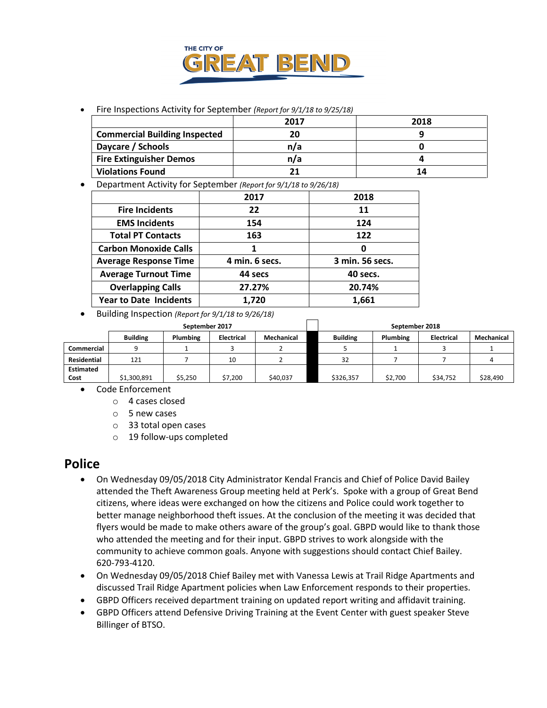

#### • Fire Inspections Activity for September *(Report for 9/1/18 to 9/25/18)*

|                                      | 2017 | 2018 |
|--------------------------------------|------|------|
| <b>Commercial Building Inspected</b> | 20   |      |
| Daycare / Schools                    | n/a  |      |
| <b>Fire Extinguisher Demos</b>       | n/a  |      |
| <b>Violations Found</b>              |      | 14   |

• Department Activity for September *(Report for 9/1/18 to 9/26/18)*

|                               | 2017           | 2018            |
|-------------------------------|----------------|-----------------|
| <b>Fire Incidents</b>         | 22             | 11              |
| <b>EMS Incidents</b>          | 154            | 124             |
| <b>Total PT Contacts</b>      | 163            | 122             |
| <b>Carbon Monoxide Calls</b>  | 1              | 0               |
| <b>Average Response Time</b>  | 4 min. 6 secs. | 3 min. 56 secs. |
| <b>Average Turnout Time</b>   | 44 secs        | 40 secs.        |
| <b>Overlapping Calls</b>      | 27.27%         | 20.74%          |
| <b>Year to Date Incidents</b> | 1,720          | 1.661           |

• Building Inspection *(Report for 9/1/18 to 9/26/18)*

|                    | September 2017  |                 |                   | September 2018 |                 |                 |            |            |
|--------------------|-----------------|-----------------|-------------------|----------------|-----------------|-----------------|------------|------------|
|                    | <b>Building</b> | <b>Plumbing</b> | <b>Electrical</b> | Mechanical     | <b>Building</b> | <b>Plumbing</b> | Electrical | Mechanical |
| Commercial         |                 |                 |                   |                |                 |                 |            |            |
| <b>Residential</b> | 121             |                 | 10                |                | 32              |                 |            |            |
| <b>Estimated</b>   |                 |                 |                   |                |                 |                 |            |            |
| Cost               | \$1,300,891     | \$5,250         | \$7,200           | \$40,037       | \$326,357       | \$2,700         | \$34,752   | \$28,490   |

- Code Enforcement
	- o 4 cases closed
	- o 5 new cases
	- o 33 total open cases
	- o 19 follow-ups completed

### **Police**

- On Wednesday 09/05/2018 City Administrator Kendal Francis and Chief of Police David Bailey attended the Theft Awareness Group meeting held at Perk's. Spoke with a group of Great Bend citizens, where ideas were exchanged on how the citizens and Police could work together to better manage neighborhood theft issues. At the conclusion of the meeting it was decided that flyers would be made to make others aware of the group's goal. GBPD would like to thank those who attended the meeting and for their input. GBPD strives to work alongside with the community to achieve common goals. Anyone with suggestions should contact Chief Bailey. 620-793-4120.
- On Wednesday 09/05/2018 Chief Bailey met with Vanessa Lewis at Trail Ridge Apartments and discussed Trail Ridge Apartment policies when Law Enforcement responds to their properties.
- GBPD Officers received department training on updated report writing and affidavit training.
- GBPD Officers attend Defensive Driving Training at the Event Center with guest speaker Steve Billinger of BTSO.